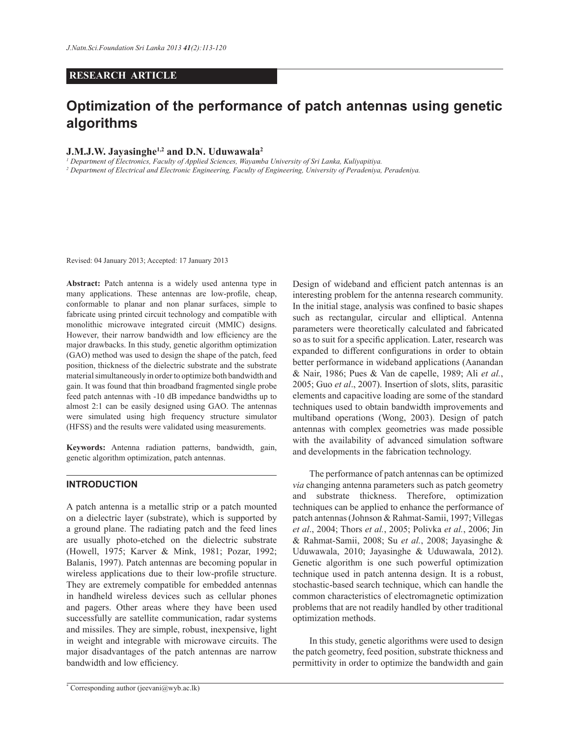#### **RESEARCH ARTICLE**

# **Optimization of the performance of patch antennas using genetic algorithms**

## **J.M.J.W. Jayasinghe1,2 and D.N. Uduwawala<sup>2</sup>**

*1 Department of Electronics, Faculty of Applied Sciences, Wayamba University of Sri Lanka, Kuliyapitiya.*

<sup>2</sup> Department of Electrical and Electronic Engineering, Faculty of Engineering, University of Peradeniya, Peradeniya.

Revised: 04 January 2013; Accepted: 17 January 2013

**Abstract:** Patch antenna is a widely used antenna type in many applications. These antennas are low-profile, cheap, conformable to planar and non planar surfaces, simple to fabricate using printed circuit technology and compatible with monolithic microwave integrated circuit (MMIC) designs. However, their narrow bandwidth and low efficiency are the major drawbacks. In this study, genetic algorithm optimization (GAO) method was used to design the shape of the patch, feed position, thickness of the dielectric substrate and the substrate material simultaneously in order to optimize both bandwidth and gain. It was found that thin broadband fragmented single probe feed patch antennas with -10 dB impedance bandwidths up to almost 2:1 can be easily designed using GAO. The antennas were simulated using high frequency structure simulator (HFSS) and the results were validated using measurements.

**Keywords:** Antenna radiation patterns, bandwidth, gain, genetic algorithm optimization, patch antennas.

#### **INTRODUCTION**

A patch antenna is a metallic strip or a patch mounted on a dielectric layer (substrate), which is supported by a ground plane. The radiating patch and the feed lines are usually photo-etched on the dielectric substrate (Howell, 1975; Karver & Mink, 1981; Pozar, 1992; Balanis, 1997). Patch antennas are becoming popular in wireless applications due to their low-profile structure. They are extremely compatible for embedded antennas in handheld wireless devices such as cellular phones and pagers. Other areas where they have been used successfully are satellite communication, radar systems and missiles. They are simple, robust, inexpensive, light in weight and integrable with microwave circuits. The major disadvantages of the patch antennas are narrow bandwidth and low efficiency.

Design of wideband and efficient patch antennas is an interesting problem for the antenna research community. In the initial stage, analysis was confined to basic shapes such as rectangular, circular and elliptical. Antenna parameters were theoretically calculated and fabricated so as to suit for a specific application. Later, research was expanded to different configurations in order to obtain better performance in wideband applications (Aanandan & Nair, 1986; Pues & Van de capelle, 1989; Ali *et al.*, 2005; Guo *et al*., 2007). Insertion of slots, slits, parasitic elements and capacitive loading are some of the standard techniques used to obtain bandwidth improvements and multiband operations (Wong, 2003). Design of patch antennas with complex geometries was made possible with the availability of advanced simulation software and developments in the fabrication technology.

 The performance of patch antennas can be optimized *via* changing antenna parameters such as patch geometry and substrate thickness. Therefore, optimization techniques can be applied to enhance the performance of patch antennas (Johnson & Rahmat-Samii, 1997; Villegas *et al*., 2004; Thors *et al.*, 2005; Polivka *et al.*, 2006; Jin & Rahmat-Samii, 2008; Su *et al.*, 2008; Jayasinghe & Uduwawala, 2010; Jayasinghe & Uduwawala, 2012). Genetic algorithm is one such powerful optimization technique used in patch antenna design. It is a robust, stochastic-based search technique, which can handle the common characteristics of electromagnetic optimization problems that are not readily handled by other traditional optimization methods.

 In this study, genetic algorithms were used to design the patch geometry, feed position, substrate thickness and permittivity in order to optimize the bandwidth and gain

<sup>\*</sup> Corresponding author (jeevani@wyb.ac.lk)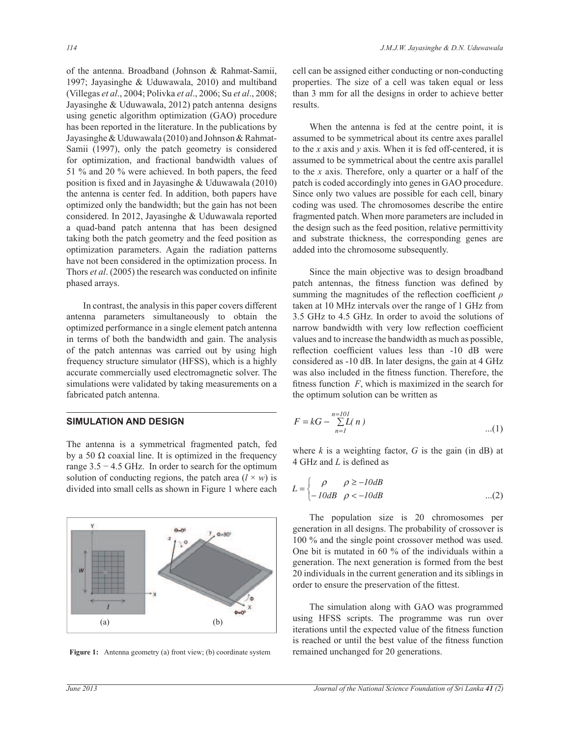of the antenna. Broadband (Johnson & Rahmat-Samii, 1997; Jayasinghe & Uduwawala, 2010) and multiband (Villegas *et al*., 2004; Polivka *et al*., 2006; Su *et al*., 2008; Jayasinghe & Uduwawala, 2012) patch antenna designs using genetic algorithm optimization (GAO) procedure has been reported in the literature. In the publications by Jayasinghe & Uduwawala (2010) and Johnson & Rahmat-Samii (1997), only the patch geometry is considered for optimization, and fractional bandwidth values of 51 % and 20 % were achieved. In both papers, the feed position is fixed and in Jayasinghe & Uduwawala (2010) the antenna is center fed. In addition, both papers have optimized only the bandwidth; but the gain has not been considered. In 2012, Jayasinghe & Uduwawala reported a quad-band patch antenna that has been designed taking both the patch geometry and the feed position as optimization parameters. Again the radiation patterns have not been considered in the optimization process. In Thors *et al*. (2005) the research was conducted on infinite phased arrays.

 In contrast, the analysis in this paper covers different antenna parameters simultaneously to obtain the optimized performance in a single element patch antenna in terms of both the bandwidth and gain. The analysis of the patch antennas was carried out by using high frequency structure simulator (HFSS), which is a highly accurate commercially used electromagnetic solver. The simulations were validated by taking measurements on a fabricated patch antenna.

### **SIMULATION AND DESIGN**

The antenna is a symmetrical fragmented patch, fed by a 50  $\Omega$  coaxial line. It is optimized in the frequency range  $3.5 - 4.5$  GHz. In order to search for the optimum solution of conducting regions, the patch area  $(l \times w)$  is divided into small cells as shown in Figure 1 where each



**Figure 1:** Antenna geometry (a) front view; (b) coordinate system remained unchanged for 20 generations.

cell can be assigned either conducting or non-conducting properties. The size of a cell was taken equal or less than 3 mm for all the designs in order to achieve better results.

 When the antenna is fed at the centre point, it is assumed to be symmetrical about its centre axes parallel to the *x* axis and *y* axis. When it is fed off-centered, it is assumed to be symmetrical about the centre axis parallel to the *x* axis. Therefore, only a quarter or a half of the patch is coded accordingly into genes in GAO procedure. Since only two values are possible for each cell, binary coding was used. The chromosomes describe the entire fragmented patch. When more parameters are included in the design such as the feed position, relative permittivity and substrate thickness, the corresponding genes are added into the chromosome subsequently.

 Since the main objective was to design broadband patch antennas, the fitness function was defined by summing the magnitudes of the reflection coefficient *ρ* taken at 10 MHz intervals over the range of 1 GHz from 3.5 GHz to 4.5 GHz. In order to avoid the solutions of narrow bandwidth with very low reflection coefficient values and to increase the bandwidth as much as possible, reflection coefficient values less than -10 dB were considered as -10 dB. In later designs, the gain at 4 GHz was also included in the fitness function. Therefore, the fitness function *F*, which is maximized in the search for the optimum solution can be written as

$$
F = kG - \sum_{n=1}^{n=101} L(n)
$$
...(1)

 $\ddot{\ }$ where  $k$  is a weighting factor,  $G$  is the gain (in dB) at 4 GHz and *L* is defined as

$$
L = \begin{cases} \rho & \rho \ge -10dB \\ -10dB & \rho < -10dB \end{cases} \tag{2}
$$

The population size is 20 chromosomes per generation in all designs. The probability of crossover is 100 % and the single point crossover method was used.  $\frac{d}{dx}$  generation. The next generation is formed from the best The population size is 20 chromosomes per One bit is mutated in 60 % of the individuals within a 20 individuals in the current generation and its siblings in order to ensure the preservation of the fittest.

 The simulation along with GAO was programmed using HFSS scripts. The programme was run over iterations until the expected value of the fitness function is reached or until the best value of the fitness function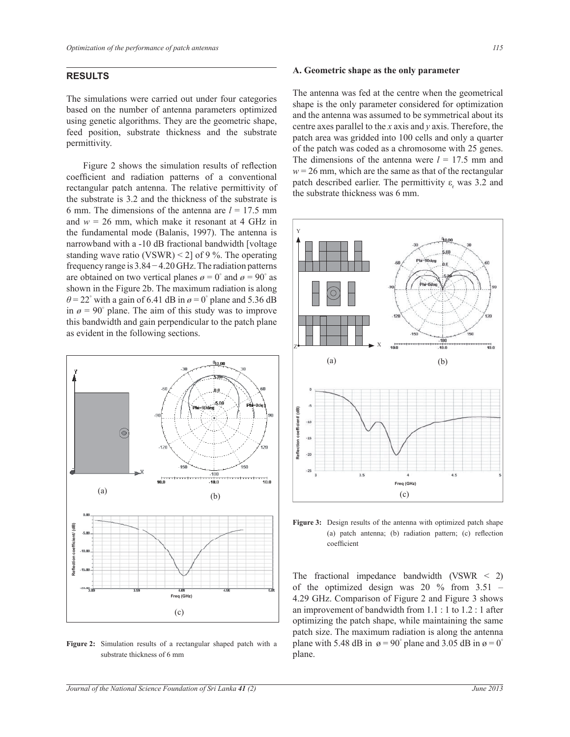## **RESULTS**

The simulations were carried out under four categories based on the number of antenna parameters optimized using genetic algorithms. They are the geometric shape, feed position, substrate thickness and the substrate permittivity.

 Figure 2 shows the simulation results of reflection coefficient and radiation patterns of a conventional rectangular patch antenna. The relative permittivity of the substrate is 3.2 and the thickness of the substrate is 6 mm. The dimensions of the antenna are  $l = 17.5$  mm and  $w = 26$  mm, which make it resonant at 4 GHz in the fundamental mode (Balanis, 1997). The antenna is narrowband with a -10 dB fractional bandwidth [voltage standing wave ratio (VSWR) < 2] of 9 %. The operating frequency range is 3.84 − 4.20 GHz. The radiation patterns are obtained on two vertical planes  $\varrho = 0^{\circ}$  and  $\varrho = 90^{\circ}$  as shown in the Figure 2b. The maximum radiation is along  $\theta$  = 22° with a gain of 6.41 dB in  $\theta$  = 0° plane and 5.36 dB in  $\varphi = 90^{\circ}$  plane. The aim of this study was to improve this bandwidth and gain perpendicular to the patch plane as evident in the following sections.



**Figure 2:** Simulation results of a rectangular shaped patch with a substrate thickness of 6 mm

#### **A. Geometric shape as the only parameter**

The antenna was fed at the centre when the geometrical shape is the only parameter considered for optimization and the antenna was assumed to be symmetrical about its centre axes parallel to the *x* axis and *y* axis. Therefore, the patch area was gridded into 100 cells and only a quarter of the patch was coded as a chromosome with 25 genes. The dimensions of the antenna were  $l = 17.5$  mm and  $w = 26$  mm, which are the same as that of the rectangular patch described earlier. The permittivity  $\varepsilon_r$  was 3.2 and the substrate thickness was 6 mm.



**Figure 3:** Design results of the antenna with optimized patch shape (a) patch antenna; (b) radiation pattern; (c) reflection coefficient

The fractional impedance bandwidth (VSWR < 2) of the optimized design was  $20\%$  from  $3.51$  – 4.29 GHz. Comparison of Figure 2 and Figure 3 shows an improvement of bandwidth from 1.1 : 1 to 1.2 : 1 after optimizing the patch shape, while maintaining the same patch size. The maximum radiation is along the antenna plane with 5.48 dB in  $\alpha = 90^\circ$  plane and 3.05 dB in  $\alpha = 0^\circ$ plane.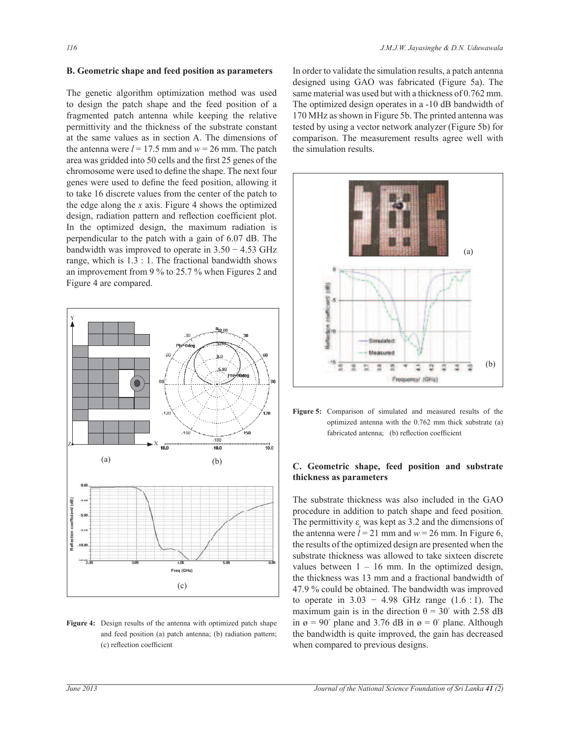#### **B. Geometric shape and feed position as parameters**

The genetic algorithm optimization method was used to design the patch shape and the feed position of a fragmented patch antenna while keeping the relative permittivity and the thickness of the substrate constant at the same values as in section A. The dimensions of the antenna were  $l = 17.5$  mm and  $w = 26$  mm. The patch area was gridded into 50 cells and the first 25 genes of the chromosome were used to define the shape. The next four genes were used to define the feed position, allowing it to take 16 discrete values from the center of the patch to the edge along the *x* axis. Figure 4 shows the optimized design, radiation pattern and reflection coefficient plot. In the optimized design, the maximum radiation is perpendicular to the patch with a gain of 6.07 dB. The bandwidth was improved to operate in  $3.50 - 4.53$  GHz range, which is 1.3 : 1. The fractional bandwidth shows an improvement from 9 % to 25.7 % when Figures 2 and Figure 4 are compared.



**Figure 4:** Design results of the antenna with optimized patch shape and feed position (a) patch antenna; (b) radiation pattern; (c) reflection coefficient

In order to validate the simulation results, a patch antenna designed using GAO was fabricated (Figure 5a). The same material was used but with a thickness of 0.762 mm. The optimized design operates in a -10 dB bandwidth of 170 MHz as shown in Figure 5b. The printed antenna was tested by using a vector network analyzer (Figure 5b) for comparison. The measurement results agree well with the simulation results.



**Figure 5:** Comparison of simulated and measured results of the optimized antenna with the 0.762 mm thick substrate (a) fabricated antenna; (b) reflection coefficient

## **C. Geometric shape, feed position and substrate thickness as parameters**

The substrate thickness was also included in the GAO procedure in addition to patch shape and feed position. The permittivity  $\varepsilon_r$  was kept as 3.2 and the dimensions of the antenna were  $l = 21$  mm and  $w = 26$  mm. In Figure 6, the results of the optimized design are presented when the substrate thickness was allowed to take sixteen discrete values between  $1 - 16$  mm. In the optimized design, the thickness was 13 mm and a fractional bandwidth of 47.9 % could be obtained. The bandwidth was improved to operate in  $3.03 - 4.98$  GHz range  $(1.6 : 1)$ . The maximum gain is in the direction  $\theta = 30^{\circ}$  with 2.58 dB in  $\alpha = 90^{\circ}$  plane and 3.76 dB in  $\alpha = 0^{\circ}$  plane. Although the bandwidth is quite improved, the gain has decreased when compared to previous designs.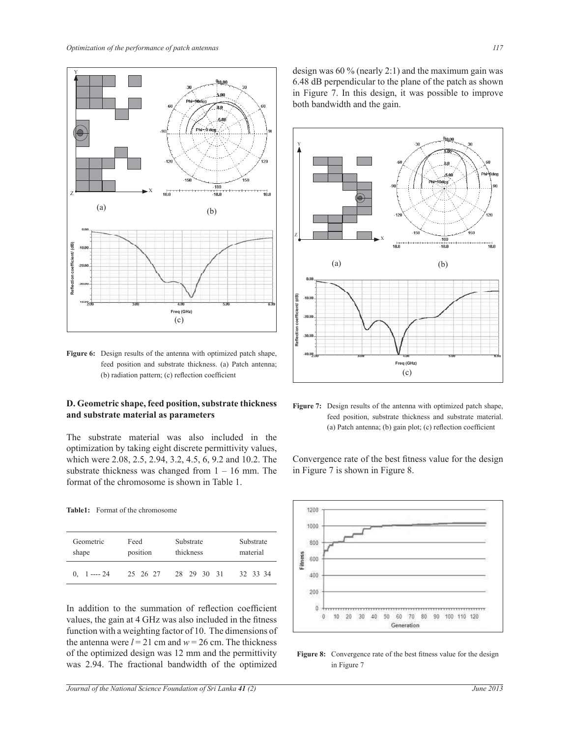

**Figure 6:** Design results of the antenna with optimized patch shape, feed position and substrate thickness. (a) Patch antenna; (b) radiation pattern; (c) reflection coefficient

## **D. Geometric shape, feed position, substrate thickness and substrate material as parameters**

The substrate material was also included in the optimization by taking eight discrete permittivity values, which were 2.08, 2.5, 2.94, 3.2, 4.5, 6, 9.2 and 10.2. The substrate thickness was changed from  $1 - 16$  mm. The format of the chromosome is shown in Table 1.

**Table1:** Format of the chromosome

| Geometric                       | Feed     | Substrate   | Substrate |
|---------------------------------|----------|-------------|-----------|
| shape                           | position | thickness   | material  |
| $0. \quad 1 \longrightarrow 24$ | 25 26 27 | 28 29 30 31 | 32 33 34  |

In addition to the summation of reflection coefficient values, the gain at 4 GHz was also included in the fitness function with a weighting factor of 10. The dimensions of the antenna were  $l = 21$  cm and  $w = 26$  cm. The thickness of the optimized design was 12 mm and the permittivity was 2.94. The fractional bandwidth of the optimized

design was 60 % (nearly 2:1) and the maximum gain was 6.48 dB perpendicular to the plane of the patch as shown in Figure 7. In this design, it was possible to improve both bandwidth and the gain.



Figure 7: Design results of the antenna with optimized patch shape, feed position, substrate thickness and substrate material. (a) Patch antenna; (b) gain plot; (c) reflection coefficient

Convergence rate of the best fitness value for the design in Figure 7 is shown in Figure 8.



Figure 8: Convergence rate of the best fitness value for the design in Figure 7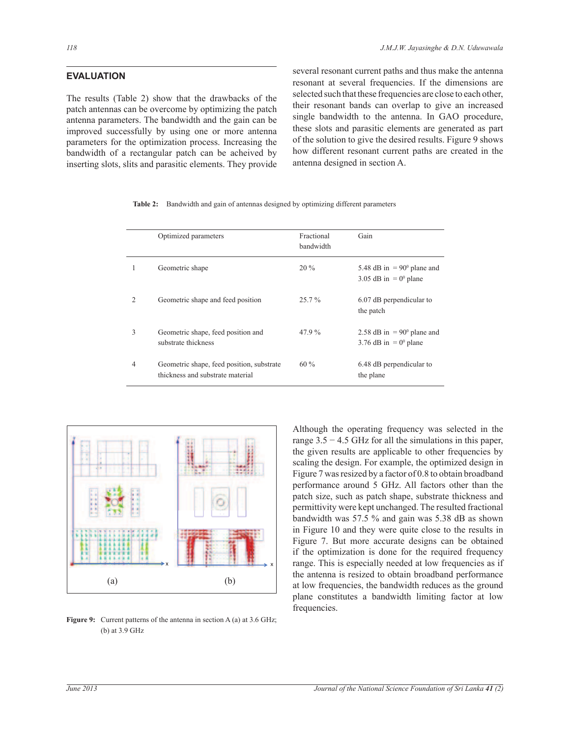## **EVALUATION**

The results (Table 2) show that the drawbacks of the patch antennas can be overcome by optimizing the patch antenna parameters. The bandwidth and the gain can be improved successfully by using one or more antenna parameters for the optimization process. Increasing the bandwidth of a rectangular patch can be acheived by inserting slots, slits and parasitic elements. They provide several resonant current paths and thus make the antenna resonant at several frequencies. If the dimensions are selected such that these frequencies are close to each other, their resonant bands can overlap to give an increased single bandwidth to the antenna. In GAO procedure, these slots and parasitic elements are generated as part of the solution to give the desired results. Figure 9 shows how different resonant current paths are created in the antenna designed in section A.

|                | Optimized parameters                                                          | Fractional<br>bandwidth | Gain                                                                  |
|----------------|-------------------------------------------------------------------------------|-------------------------|-----------------------------------------------------------------------|
|                | Geometric shape                                                               | $20\%$                  | 5.48 dB in $= 90^{\circ}$ plane and<br>3.05 dB in $= 0^{\circ}$ plane |
| $\mathfrak{D}$ | Geometric shape and feed position                                             | $25.7\%$                | 6.07 dB perpendicular to<br>the patch                                 |
| 3              | Geometric shape, feed position and<br>substrate thickness                     | 47.9%                   | 2.58 dB in $= 90^{\circ}$ plane and<br>3.76 dB in $= 0^{\circ}$ plane |
| 4              | Geometric shape, feed position, substrate<br>thickness and substrate material | $60\%$                  | 6.48 dB perpendicular to<br>the plane                                 |

**Table 2:** Bandwidth and gain of antennas designed by optimizing different parameters



**Figure 9:** Current patterns of the antenna in section A (a) at 3.6 GHz; (b) at 3.9 GHz

Although the operating frequency was selected in the range  $3.5 - 4.5$  GHz for all the simulations in this paper, the given results are applicable to other frequencies by scaling the design. For example, the optimized design in Figure 7 was resized by a factor of 0.8 to obtain broadband performance around 5 GHz. All factors other than the patch size, such as patch shape, substrate thickness and permittivity were kept unchanged. The resulted fractional bandwidth was 57.5 % and gain was 5.38 dB as shown in Figure 10 and they were quite close to the results in Figure 7. But more accurate designs can be obtained if the optimization is done for the required frequency range. This is especially needed at low frequencies as if the antenna is resized to obtain broadband performance at low frequencies, the bandwidth reduces as the ground plane constitutes a bandwidth limiting factor at low frequencies.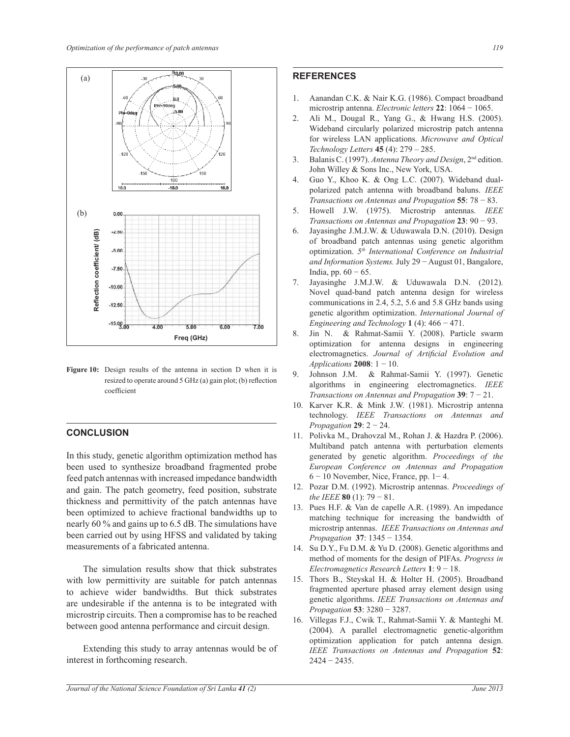

**Figure 10:** Design results of the antenna in section D when it is resized to operate around 5 GHz (a) gain plot; (b) reflection coefficient

## **CONCLUSION**

In this study, genetic algorithm optimization method has been used to synthesize broadband fragmented probe feed patch antennas with increased impedance bandwidth and gain. The patch geometry, feed position, substrate thickness and permittivity of the patch antennas have been optimized to achieve fractional bandwidths up to nearly 60 % and gains up to 6.5 dB. The simulations have been carried out by using HFSS and validated by taking measurements of a fabricated antenna.

 The simulation results show that thick substrates with low permittivity are suitable for patch antennas to achieve wider bandwidths. But thick substrates are undesirable if the antenna is to be integrated with microstrip circuits. Then a compromise has to be reached between good antenna performance and circuit design.

 Extending this study to array antennas would be of interest in forthcoming research.

## **REFERENCES**

- 1. Aanandan C.K. & Nair K.G. (1986). Compact broadband microstrip antenna. *Electronic letters* **22**: 1064 − 1065.
- 2. Ali M., Dougal R., Yang G., & Hwang H.S. (2005). Wideband circularly polarized microstrip patch antenna for wireless LAN applications. *Microwave and Optical Technology Letters* **45** (4): 279 – 285.
- 3. Balanis C. (1997). *Antenna Theory and Design*, 2nd edition. John Willey & Sons Inc., New York, USA.
- 4. Guo Y., Khoo K. & Ong L.C. (2007). Wideband dualpolarized patch antenna with broadband baluns. *IEEE Transactions on Antennas and Propagation* **55**: 78 − 83.
- 5. Howell J.W. (1975). Microstrip antennas. *IEEE Transactions on Antennas and Propagation* **23**: 90 − 93.
- 6. Jayasinghe J.M.J.W. & Uduwawala D.N. (2010). Design of broadband patch antennas using genetic algorithm optimization. *5 th International Conference on Industrial and Information Systems.* July 29 − August 01, Bangalore, India, pp. 60 − 65.
- 7. Jayasinghe J.M.J.W. & Uduwawala D.N. (2012). Novel quad-band patch antenna design for wireless communications in 2.4, 5.2, 5.6 and 5.8 GHz bands using genetic algorithm optimization. *International Journal of Engineering and Technology* **1** (4): 466 − 471.
- 8. Jin N. & Rahmat-Samii Y. (2008). Particle swarm optimization for antenna designs in engineering electromagnetics. *Journal of Artificial Evolution and Applications* **2008**: 1 − 10.
- 9. Johnson J.M. & Rahmat-Samii Y. (1997). Genetic algorithms in engineering electromagnetics. *IEEE Transactions on Antennas and Propagation* **39**: 7 − 21.
- 10. Karver K.R. & Mink J.W. (1981). Microstrip antenna technology. *IEEE Transactions on Antennas and Propagation* **29**: 2 − 24.
- 11. Polivka M., Drahovzal M., Rohan J. & Hazdra P. (2006). Multiband patch antenna with perturbation elements generated by genetic algorithm. *Proceedings of the European Conference on Antennas and Propagation* 6 − 10 November, Nice, France, pp. 1− 4.
- 12. Pozar D.M. (1992). Microstrip antennas. *Proceedings of the IEEE* **80** (1): 79 − 81.
- 13. Pues H.F. & Van de capelle A.R. (1989). An impedance matching technique for increasing the bandwidth of microstrip antennas. *IEEE Transactions on Antennas and Propagation* **37**: 1345 − 1354.
- 14. Su D.Y., Fu D.M. & Yu D. (2008). Genetic algorithms and method of moments for the design of PIFAs. *Progress in Electromagnetics Research Letters* **1**: 9 − 18.
- 15. Thors B., Steyskal H. & Holter H. (2005). Broadband fragmented aperture phased array element design using genetic algorithms. *IEEE Transactions on Antennas and Propagation* **53**: 3280 − 3287.
- 16. Villegas F.J., Cwik T., Rahmat-Samii Y. & Manteghi M. (2004). A parallel electromagnetic genetic-algorithm optimization application for patch antenna design. *IEEE Transactions on Antennas and Propagation* **52**: 2424 − 2435.